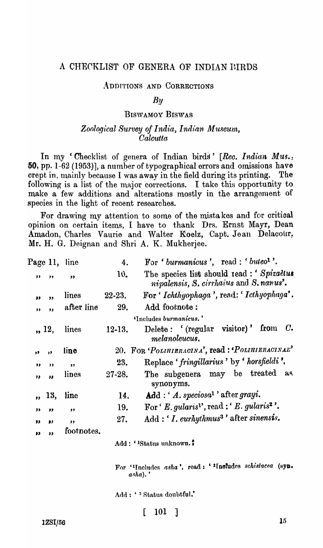# A CHECKLIST OF GENERA OF INDIAN BIRDS

#### ADDITIONS AND CORRECTIONS

### $B\mathfrak{u}$

### **BISWAMOY BISWAS**

## Zoological Survey of India, Indian Museum, Calcutta

In my 'Checklist of genera of Indian birds' [Rec. Indian Mus.: **50**, pp. 1-62 (1953)], a number of typographical errors and omissions have crept in, mainly because I was away in the field during its printing. The following is a list of the major corrections. I take this opportunity to make a few additions and alterations mostly in the arrangement of species in the light of recent researches.

For drawing my attention to some of the mistakes and for critical opinion on certain items, I have to thank Drs. Ernst Mayr, Dean Amadon, Charles Vaurie and Walter Koelz, Capt. Jean Delacour, Mr. H. G. Deignan and Shri A. K. Mukherjee.

| Page 11,                     | line                    | 4.          | For 'burmanicus', read : 'buteo <sup>1</sup> '.                                     |
|------------------------------|-------------------------|-------------|-------------------------------------------------------------------------------------|
| , ,<br>, ,                   | ,                       | 10.         | The species list should read: 'Spizaetus<br>nipalensis, S. cirrhaius and S. nanus'. |
| $^{\bullet}$<br>39           | lines                   | $22 - 23.$  | For ' Ichthyophaga', read: ' Icthyophaga'.                                          |
| $\overline{\mathbf{3}}$<br>" | after line              | 29.         | Add footnote:                                                                       |
|                              |                         |             | 'Includes burmanicus.'                                                              |
| ,, 12,                       | lines                   | $12 - 13$ . | Delete: $'(regular \text{ visitor})'$ from $C$ .<br>melanoleucus.                   |
| ,<br>,,                      | line                    |             | 20. FOR 'POLIHIERACINA', read : 'POLIHIERACINAL'                                    |
| $\bullet$<br>, ,             | $\overline{\mathbf{z}}$ | 23.         | Replace 'fringillarius' by 'horsfieldi'.                                            |
| "<br>$\bullet$               | lines                   | 27-28.      | The subgenera may be treated<br>દાલ<br>synonyms.                                    |
| 13,                          | line                    | 14.         | $Add : 'A. speciesa1 'after grayi.$                                                 |
| $\bullet$<br>,,              | , ,                     | 19.         | For $E$ . gularis <sup>1</sup> , read : $E$ . gularis <sup>2</sup> .                |
| $\bullet$<br>93              | , ,                     | 27.         | Add: 'I. eurhythmus <sup>3</sup> ' after sinensis.                                  |
| $\bullet$<br>99              | footnotes.              |             |                                                                                     |
|                              |                         |             | Add: ' <sup>1</sup> Status unknown.'                                                |
|                              |                         |             |                                                                                     |

For ''Includes asha', read: ''Includes schistacea (syn.  $a$ sha).

Add: '<sup>3</sup> Status doubtful.'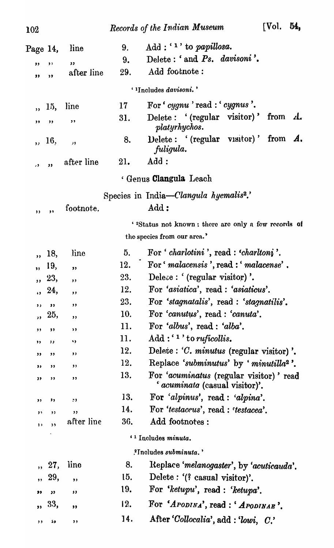| <b>102</b>               |                         |            |     | Records of the Indian Museum                                              | [Vol.                         | 54, |
|--------------------------|-------------------------|------------|-----|---------------------------------------------------------------------------|-------------------------------|-----|
| Page 14,                 |                         | line       | 9.  | $Add: \{1\}$ to papillosa.                                                |                               |     |
| ,,                       | ,                       | ,,         | 9.  | Delete: 'and Ps. davisoni'.                                               |                               |     |
| ,,                       | "                       | after line | 29. | Add footnote:                                                             |                               |     |
|                          |                         |            |     | ' <sup>1</sup> Includes <i>davisoni.</i> '                                |                               |     |
|                          | 15,                     | line       | 17  | For ' cygnu ' read : ' cygnus'.                                           |                               |     |
| ,,                       | ,,                      | ,,         | 31. | Delete: '(regular visitor)'<br>platyrhychos.                              | from $\mathcal{A}_{\epsilon}$ |     |
| $\overline{\mathbf{z}}$  | 16,                     | "          | 8.  | Delete: '(regular visitor)'<br>fuligula.                                  | from A.                       |     |
| ر ,                      | $^{\prime}$             | after line | 21. | Add:                                                                      |                               |     |
|                          |                         |            |     | ' Genus <b>Clangula</b> Leach                                             |                               |     |
|                          |                         |            |     | Species in India—Clangula hyemalis <sup>2</sup> .                         |                               |     |
| $, \,$                   | ,,                      | footnote.  |     | Add:                                                                      |                               |     |
|                          |                         |            |     | ' <sup>2</sup> Status not known: there are only a few records of          |                               |     |
|                          |                         |            |     | the species from our area.'                                               |                               |     |
| ,                        | 18,                     | line       | 5.  | For ' charlotini', read : 'charltoni'.                                    |                               |     |
| $\overline{\mathbf{3}}$  | 19,                     | ,,         | 12. | For 'malacensis', read : 'malacense'.                                     |                               |     |
| $\overline{\mathbf{z}}$  | 23,                     | , ,        | 23. | Delete: '(regular visitor)'.                                              |                               |     |
|                          | , 24,                   | ,,         | 12. | For 'asiatica', read : 'asiaticus'.                                       |                               |     |
| $, \,$                   | ,,                      | ,,         | 23. | For 'stagnatalis', read : 'stagnatilis'.                                  |                               |     |
| $\overline{\phantom{a}}$ | 25,                     | , ,        | 10. | For 'canutus', read : 'canuta'.                                           |                               |     |
| ,,                       | ,                       | , ,        | 11. | For 'albus', read : 'alba'.                                               |                               |     |
| ,,                       | $, \,$                  | 13         | 11. | $Add: \mathbf{A}^1$ to ruficollis.                                        |                               |     |
| "                        | ,,                      | ,,         | 12. | Delete : 'C. minutus (regular visitor)'.                                  |                               |     |
| ,,                       | ,,                      | $, \,$     | 12. | Replace 'subminutus' by 'minutilla <sup>2</sup> '.                        |                               |     |
| 39                       | ,,                      | ,,         | 13. | For 'acuminatus (regular visitor)' read<br>' acuminata (casual visitor)'. |                               |     |
| $, \,$                   | ,,                      | $\cdot$    | 13. | For 'alpinus', read : 'alpina'.                                           |                               |     |
| $, \,$                   | ,,                      | ,,         | 14. | For 'testaceus', read : 'testacea'.                                       |                               |     |
| $\mathbf{1}$             | $\overline{\mathbf{3}}$ | after line | 36. | Add footnotes:                                                            |                               |     |
|                          |                         |            |     | ' <sup>1</sup> Includes minuta.                                           |                               |     |
|                          |                         |            |     | <sup>2</sup> Includes subminuta.'                                         |                               |     |
| $\overline{\mathbf{5}}$  | 27,                     | line       | 8.  | Replace 'melanogaster', by 'acuticauda'.                                  |                               |     |
| ,                        | 29,                     | ,,         | 15. | Delete : '(? casual visitor)'.                                            |                               |     |
| ,,                       | "                       | $\bullet$  | 19. | For 'ketupu', read : 'ketupa'.                                            |                               |     |
| $\overline{\mathbf{z}}$  | 33,                     | ,,         | 12. | For 'APODINA', read : 'APODINAE'.                                         |                               |     |
| $, \,$                   | دء                      | ,,         | 14. | After 'Collocalia', add: 'lowi, C.'                                       |                               |     |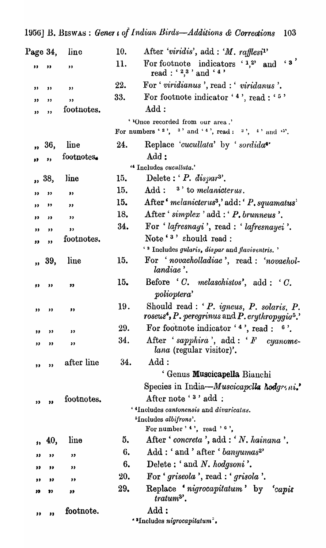| Page 34,          |             | line       | 10. | After 'viridis', add : 'M. $\eta$ fflesi <sup>1</sup> '                                                                                                                 |
|-------------------|-------------|------------|-----|-------------------------------------------------------------------------------------------------------------------------------------------------------------------------|
| ,,                | $^{\prime}$ | ,          | 11. | $\left(3\right)$<br>For footnote indicators $1,2$<br>and                                                                                                                |
| ,,                | "           | ,,         | 22. | For 'viridianus', read : 'viridanus'.                                                                                                                                   |
| ,,                | $, \,$      | ,          | 33. | For footnote indicator '4', read : '5'                                                                                                                                  |
| $^{\prime\prime}$ | , ,         | footnotes. |     | Add:                                                                                                                                                                    |
|                   |             |            |     | ''Once recorded from our area.'<br>For numbers '2', 3' and '4', read: $3'$ , $4'$ and '5'.                                                                              |
|                   | ,, 36,      | line       | 24. | Replace 'cucullata' by 'sordida <sup>4</sup> '                                                                                                                          |
| 33                | $\bullet$   | footnotes. |     | Add:                                                                                                                                                                    |
|                   |             |            |     | " Includes cucullata."                                                                                                                                                  |
|                   | ,, 38,      | line       | 15. | Delete: $P.$ dispar <sup>3</sup> '.                                                                                                                                     |
| "                 | ,           | ,          | 15. | $Add:$ <sup>3</sup> to melanicterus.                                                                                                                                    |
| ,                 | ,,          | ,,         | 15. | After <i>melanicterus<sup>3</sup></i> , add: <i>P. squamatus</i>                                                                                                        |
| ,                 | $\bullet$   | $, \,$     | 18. | After ' $simplex$ ' add : ' $P$ , brunneus'.                                                                                                                            |
| "                 | ,           | $, \,$     | 34. | For 'lafresnayi', read : 'lafresnayei'.                                                                                                                                 |
| $\bullet$         | ,           | footnotes. |     | Note '3' should read :                                                                                                                                                  |
|                   |             |            |     | ' 3 Includes gularis, dispar and flaviventris.'                                                                                                                         |
|                   | ,, 39,      | line       | 15. | For 'novaeholladiae', read : 'novaehol-<br>landiae'.                                                                                                                    |
| ,,                | ,,          | ,,         | 15. | Before $C$ , melaschistos', add : $C$ .<br>polioptera'                                                                                                                  |
| "                 | "           | ,,         | 19. | Should read : ' P. igneus, P. solaris, P.<br>$\mathit{roseus}^\blacktriangleleft, P.\, \mathit{peregrinus}\, \text{and}\, P.\, \mathit{erythropygia}^\frak{a}\text{.'}$ |
| ,,                | ,,          | ,,         | 29. | For footnote indicator $'4$ , read : $0'$ .                                                                                                                             |
| "                 | "           | ,,         | 34. | After 'sapphira', $add: 'F$ cyanome-<br><i>lana</i> (regular visitor)'.                                                                                                 |
| ,,                | ,,          | after line | 34. | Add:                                                                                                                                                                    |
|                   |             |            |     | ' Genus Muscicapella Bianchi                                                                                                                                            |
|                   |             |            |     | Species in India-Muscicapella hodgeni.                                                                                                                                  |
|                   | ,,          | footnotes. |     | After note '3' add:                                                                                                                                                     |
| "                 |             |            |     | ' 4Includes cantonensis and divaricatus.                                                                                                                                |
|                   |             |            |     | <sup>5</sup> Includes albifrons'.                                                                                                                                       |
|                   |             |            |     | For number $'$ 4, read $'$ 6,                                                                                                                                           |
|                   | , 40,       | line       | 5.  | After $\lq$ concreta $\lq$ , add : $\lq N$ . hainana'.                                                                                                                  |
| ,,                | "           | ,,         | 6.  | Add: 'and' after ' banyumas <sup>2</sup> '                                                                                                                              |
| "                 | "           | ,,         | 6.  | Delete: 'and N. hodgsoni'.                                                                                                                                              |
| ,,                | "           | ,,         | 20. | For 'griseola', read : 'grisola'.                                                                                                                                       |
| "                 | 9)          | ,,         | 29. | Replace 'nigrocapitatum' by<br><i>capis</i><br>$tratum3$ .                                                                                                              |
| "                 | "           | footnote.  |     | $\mathop{\rm Add}$ :<br>"Includes nigrocapitatum".                                                                                                                      |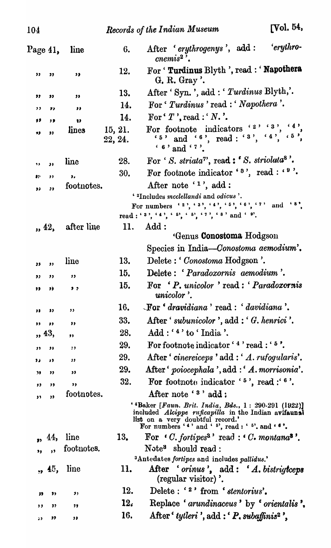| Page 41,  |                         | line               | 6.                 | 'erythro-<br>After 'erythrogenys', add:<br>$\textit{cnew}$ $\mathbf{a}^2$ .                                                                                                                                                       |
|-----------|-------------------------|--------------------|--------------------|-----------------------------------------------------------------------------------------------------------------------------------------------------------------------------------------------------------------------------------|
| "         | 33                      | 5 <sub>2</sub>     | 12.                | For ' Turdinus Blyth ', read : ' Napothera<br>G. R. Gray'.                                                                                                                                                                        |
| ,,        | ,,                      | ,,                 | 13.                | After 'Syn. ', add : 'Turdinus Blyth,'.                                                                                                                                                                                           |
| ,,        | ,,                      | $\bullet$          | 14.                | For ' Turdinus' read : ' Napothera'.                                                                                                                                                                                              |
| 99        | ,,                      | $\bullet$          | 14.                | For $T$ , read : $N$ .                                                                                                                                                                                                            |
| 93        | $\bullet$               | lines              | 15, 21.<br>22, 24. | $4$ ,<br>For footnote indicators $27.3$ ,<br>$5$ , and $6$ , read: $3$ , $4$ , $5$ ,<br>$6$ , and $6$ .                                                                                                                           |
| 93        | $\overline{\mathbf{u}}$ | line               | 28.                | For 'S. striata", read: 'S. striolata <sup>8</sup> '.                                                                                                                                                                             |
| $\bullet$ | $, \,$                  | ,,                 | 30.                | For footnote indicator ' <sup>8</sup> ', read : ' <sup>9</sup> '.                                                                                                                                                                 |
| ,,        | $\bullet$               | footnotes.         |                    | After note $'1$ ', add:                                                                                                                                                                                                           |
|           |                         |                    |                    | ' <sup>2</sup> Includes <i>mcclellandi</i> and <i>odicus</i> '.<br>For numbers '2', '3', '4', '5', '6', '7' and '8'.<br>read: $3^3$ , $4^3$ , $5^5$ , $5^5$ , $7^3$ , $8^3$ and $9^9$ .                                           |
|           |                         | $, 42,$ after line | 11.                | Add:<br>Genus Conostoma Hodgson                                                                                                                                                                                                   |
|           |                         |                    |                    | Species in India-Conostoma aemodium'.                                                                                                                                                                                             |
| 33        | "                       | line               | 13.                | Delete: Conostoma Hodgson '.                                                                                                                                                                                                      |
| "         | "                       | ,,                 | 15.                | Delete: 'Paradoxornis aemodium'.                                                                                                                                                                                                  |
| "         | JŚ.                     | 5 <sub>2</sub>     | 15.                | For 'P. unicolor' read: 'Paradoxornis<br>unicolor'.                                                                                                                                                                               |
| ,,        | ,,                      | ,,                 | 16.                | $\mathcal{L}$ For ' dravidiana ' read : ' davidiana '.                                                                                                                                                                            |
| ,,        | "                       | "                  | 33.                | After 'subunicolor', add: 'G. henrici'.                                                                                                                                                                                           |
| ,, 43,    |                         | ,,                 | 28.                | Add: '4' to 'India'.                                                                                                                                                                                                              |
| ,,        | ,,                      | ;,                 | 29.                | For footnote indicator '4' read : '5'.                                                                                                                                                                                            |
| 33        | "                       | ,,                 | 29.                | After 'cinereiceps' add: 'A. rufogularis'.                                                                                                                                                                                        |
| "         | "                       | 33                 | 29.                | After ' $poiocephala$ ', add : ' $A.$ morrisonia'.                                                                                                                                                                                |
| "         | "                       | ,,                 | 32.                | For footnote indicator $5$ , read : $6$ .                                                                                                                                                                                         |
| ,,        | ${}^{33}$               | footnotes.         |                    | After note ' <sup>3</sup> ' add :                                                                                                                                                                                                 |
|           |                         |                    |                    | $'$ <sup>4</sup> Baker [Faun. Brit. India, Bds., 1: 290-291 (1922)]<br>included <i>Alcippe ruficapilla</i> in the Indian avifaunal<br>list on a very doubtful record.'<br>For numbers $(4)$ and $(5)$ , read: $(5)$ , and $(6)$ . |
|           | , 44,                   | line               | 13.                | For $\cdot$ C. fortipes <sup>3</sup> read: $\cdot$ C. montana <sup>3</sup> .                                                                                                                                                      |
| ,         | , ,                     | footnotes.         |                    | Note <sup>3</sup> should read:                                                                                                                                                                                                    |
|           | , 45,                   | line               | 11.                | <sup>3</sup> Antedates fortipes and includes pallidus.'<br>After ' <i>orinus</i> ', $add: 'A. bistrigteeps$                                                                                                                       |
|           |                         |                    |                    | (regular visitor)'.                                                                                                                                                                                                               |
| 39        | "                       | ,,                 | 12.                | Delete: ' <sup>2</sup> ' from 'stentorius'.                                                                                                                                                                                       |
| ,,        | "                       | ,,                 | 12.                | Replace 'arundinaceus' by 'orientalis',                                                                                                                                                                                           |
| 55        | "                       | ,,                 | 16.                | After ' tytleri', add: ' P. subaffinis <sup>2</sup> ',                                                                                                                                                                            |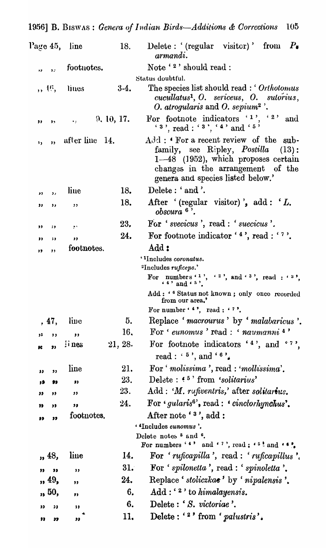|                  |                            | Page 45, line  | 18.        | Delete: '(regular visitor)' from $P_{\bullet}$<br>armandi.                                                                                                                                                    |
|------------------|----------------------------|----------------|------------|---------------------------------------------------------------------------------------------------------------------------------------------------------------------------------------------------------------|
| ,,               | $\ddot{\phantom{1}}$       | footnotes.     |            | Note ' <sup>2</sup> ' should read:                                                                                                                                                                            |
|                  |                            |                |            | Status doubtful.                                                                                                                                                                                              |
|                  | ,, 16,                     | lines          | $3-4.$     | The species list should read : 'Orthotomus'<br>cucullatus <sup>1</sup> , O. sericeus, O. sutorius,<br>O. atroqularis and O. sepium <sup>2</sup> .                                                             |
| ,,               | $, \,$                     | $\bullet$ :    | 9, 10, 17. | For footnote indicators '1', '2'<br>and<br>$(3^{\circ}, \text{read}: '3^{\circ}, '4^{\circ}, \text{and} '5^{\circ})$                                                                                          |
| ٠,               | $\overline{\mathbf{z}}$    | after line 14. |            | $\text{Add}:$ 'For a recent review of the sub-<br>family, see Ripley, Postilla<br>$(13)$ :<br>$1-48$ (1952), which proposes certain<br>changes in the arrangement of the<br>genera and species listed below.' |
| ,,               | $\mathbf{z}$               | line           | 18.        | Delete: 'and'.                                                                                                                                                                                                |
| ,,               | ,,                         | 55             | 18.        | After '(regular visitor)', $add: L$ .<br>$\it obscura~6$ .                                                                                                                                                    |
| ,,               | ;,                         | e s            | 23.        | For 'svecicus', read : 'suecicus'.                                                                                                                                                                            |
| "                | $\ddot{\phantom{0}}$       | ,,             | 24.        | For footnote indicator $' 4$ ', read : '''.                                                                                                                                                                   |
| "                | ,,                         | footnotes.     |            | Add:                                                                                                                                                                                                          |
|                  |                            |                |            | ' <sup>1</sup> Includes <i>coronatus</i> .                                                                                                                                                                    |
|                  |                            |                |            | <sup>2</sup> Includes ruficeps.'<br>For numbers '1', '2', and '3', read : '3', '4' and '5'.                                                                                                                   |
|                  |                            |                |            | Add: ' 6 Status not known; only once recorded<br>from our area.'                                                                                                                                              |
|                  |                            |                |            | For number $4$ , read : $4$ .                                                                                                                                                                                 |
|                  | , 47,                      | live           | 5.         | Replace 'macrourus' by 'malabaricus'.                                                                                                                                                                         |
| 33               | $, \,$                     | $\pmb{\cdot}$  | 16,        | For 'eunomus' read : 'naumanni 4'                                                                                                                                                                             |
| ĸ                | $\bullet$                  | i nes          | 21, 28.    | For footnote indicators $'4'$ , and $'7'$ .<br>read : $5^{\circ}$ , and $5^{\circ}$ .                                                                                                                         |
| 33               | ,                          | line           | 21.        | For 'molissima', read: 'mollissima'.                                                                                                                                                                          |
| 3D               | 99                         | $\bullet$      | 23.        | Delete: $5$ from 'solitarius'                                                                                                                                                                                 |
| "                | "                          | ,,             | 23.        | Add: 'M. rufiventris,' after solitarius.                                                                                                                                                                      |
| 33               | $\bullet$                  | ,,             | 24.        | For $'gularis$ <sup>6</sup> , read : $'cinclorlynchus$ .                                                                                                                                                      |
| ,,               | 33                         | footnotes.     |            | After note ' <sup>3</sup> ', add :                                                                                                                                                                            |
|                  |                            |                |            | · <sup>4</sup> Includes eunomus'.                                                                                                                                                                             |
|                  |                            |                |            | Delete notes <sup>5</sup> and <sup>6</sup> .                                                                                                                                                                  |
|                  | , 48,                      | line           | 14.        | For numbers '4' and '7', read : '5! and '6'.<br>For 'ruficapilla', read : 'ruficapillus'.                                                                                                                     |
|                  |                            |                |            |                                                                                                                                                                                                               |
| "                | $\overline{\phantom{a}}$   | , ,            | 31.<br>24. | For 'spilonetta', read : 'spinoletta',<br>Replace 'stoliczkae' by 'nipalensis'.                                                                                                                               |
|                  | , 49,                      | $\bullet$      | 6.         | $Add:$ $\lq$ to himalayensis.                                                                                                                                                                                 |
|                  | , 50,                      | $\bullet$      | 6.         | Delete: 'S. victoriae'.                                                                                                                                                                                       |
| 33               | 53                         | $\bullet$      |            |                                                                                                                                                                                                               |
| $\bullet\bullet$ | $\boldsymbol{\mathcal{F}}$ | "              | 11.        | Delete: ' <sup>2</sup> ' from 'palustris'.                                                                                                                                                                    |